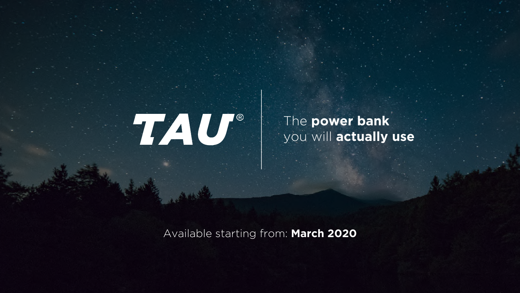

The **power bank** you will **actually use**

Available starting from: **March 2020**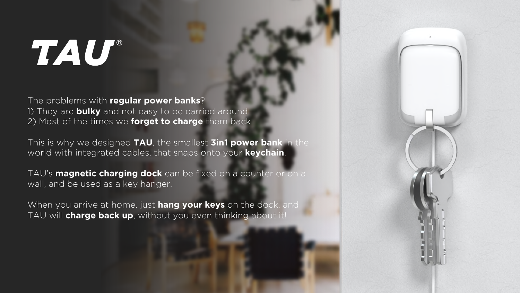# TAU®

The problems with **regular power banks**? 1) They are **bulky** and not easy to be carried around 2) Most of the times we **forget to charge** them back

This is why we designed **TAU**, the smallest **3in1 power bank** in the world with integrated cables, that snaps onto your **keychain**.

TAU's **magnetic charging dock** can be fixed on a counter or on a wall, and be used as a key hanger.

When you arrive at home, just **hang your keys** on the dock, and TAU will **charge back up**, without you even thinking about it!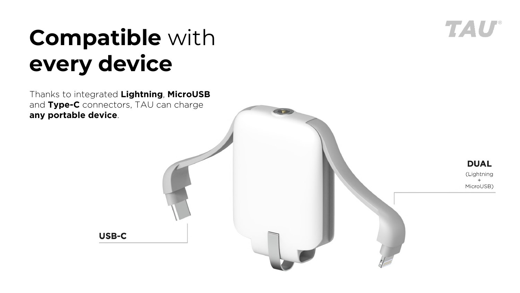

# **Compatible** with **every device**

Thanks to integrated **Lightning**, **MicroUSB** and **Type-C** connectors, TAU can charge **any portable device**.

**USB-C** 

**DUAL** (Lightning MicroUSB)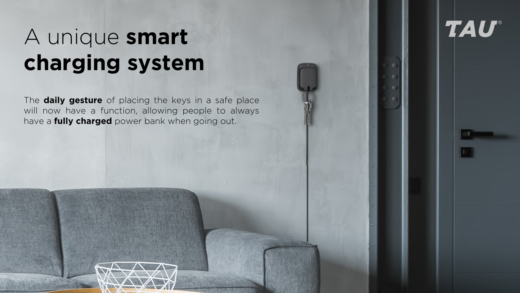#### A unique **smart charging system**

The **daily gesture** of placing the keys in a safe place will now have a function, allowing people to always have a **fully charged** power bank when going out.

.

**TAU®**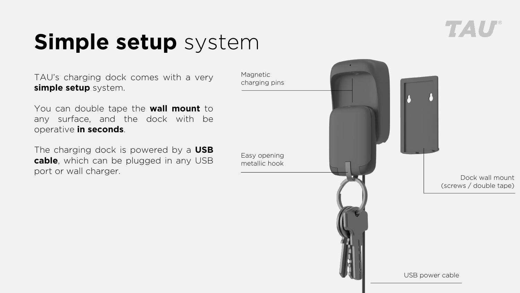### **Simple setup** system

TAU's charging dock comes with a very **simple setup** system.

You can double tape the **wall mount** to any surface, and the dock with be operative **in seconds**.

The charging dock is powered by a **USB cable**, which can be plugged in any USB port or wall charger.

Magnetic charging pins Easy opening metallic hook Dock wall mount (screws / double tape) . USB power cable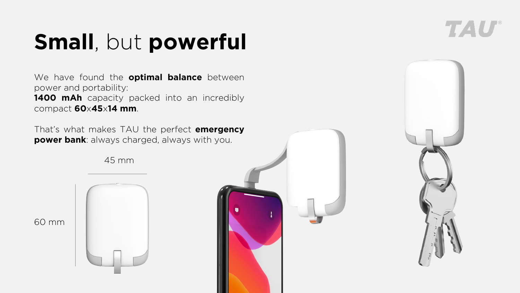# **Small**, but **powerful**

We have found the **optimal balance** between power and portability: **1400 mAh** capacity packed into an incredibly compact **60**x**45**x**14 mm**.

That's what makes TAU the perfect **emergency power bank**: always charged, always with you.

45 mm

60 mm

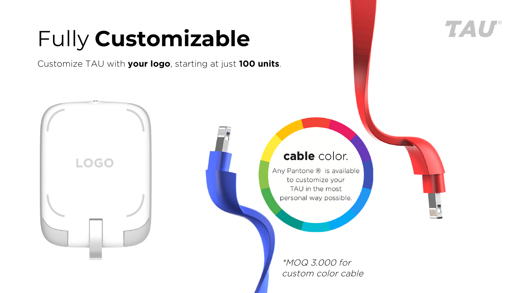# Fully **Customizable**

Customize TAU with **your logo**, starting at just **100 units**.



#### cable color. **LOGO** Any Pantone ® is available to customize your TAU in the most personal way possible. \*MOQ 3.000 for

custom color cable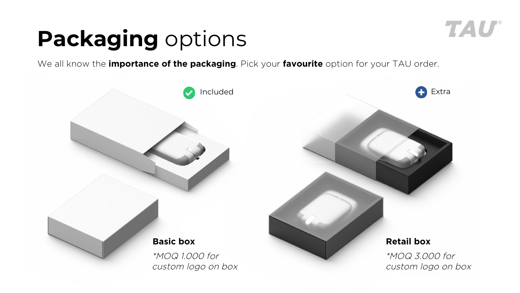#### TAU

# **Packaging** options

We all know the **importance of the packaging**. Pick your **favourite** option for your TAU order.